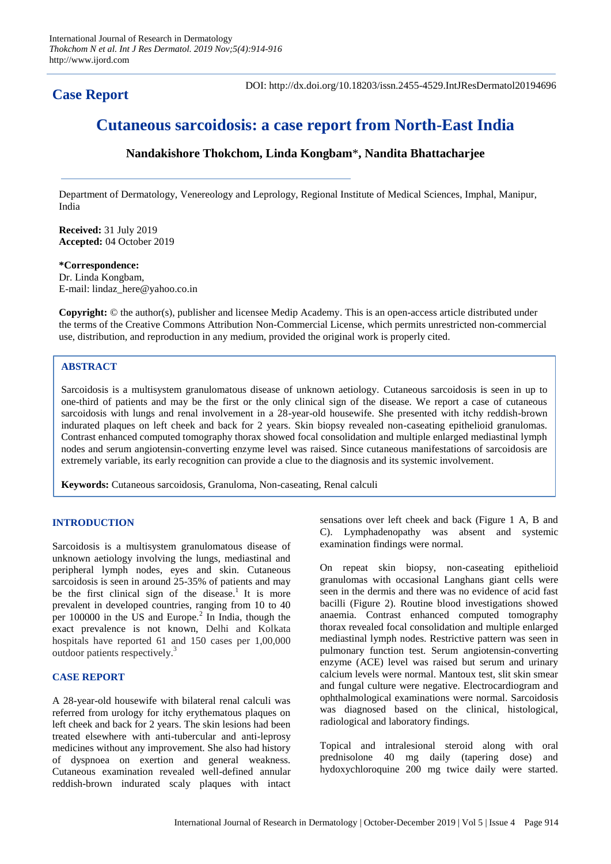## **Case Report**

DOI: http://dx.doi.org/10.18203/issn.2455-4529.IntJResDermatol20194696

# **Cutaneous sarcoidosis: a case report from North-East India**

## **Nandakishore Thokchom, Linda Kongbam**\***, Nandita Bhattacharjee**

Department of Dermatology, Venereology and Leprology, Regional Institute of Medical Sciences, Imphal, Manipur, India

**Received:** 31 July 2019 **Accepted:** 04 October 2019

#### **\*Correspondence:**

Dr. Linda Kongbam, E-mail: lindaz\_here@yahoo.co.in

**Copyright:** © the author(s), publisher and licensee Medip Academy. This is an open-access article distributed under the terms of the Creative Commons Attribution Non-Commercial License, which permits unrestricted non-commercial use, distribution, and reproduction in any medium, provided the original work is properly cited.

## **ABSTRACT**

Sarcoidosis is a multisystem granulomatous disease of unknown aetiology. Cutaneous sarcoidosis is seen in up to one-third of patients and may be the first or the only clinical sign of the disease. We report a case of cutaneous sarcoidosis with lungs and renal involvement in a 28-year-old housewife. She presented with itchy reddish-brown indurated plaques on left cheek and back for 2 years. Skin biopsy revealed non-caseating epithelioid granulomas. Contrast enhanced computed tomography thorax showed focal consolidation and multiple enlarged mediastinal lymph nodes and serum angiotensin-converting enzyme level was raised. Since cutaneous manifestations of sarcoidosis are extremely variable, its early recognition can provide a clue to the diagnosis and its systemic involvement.

**Keywords:** Cutaneous sarcoidosis, Granuloma, Non-caseating, Renal calculi

## **INTRODUCTION**

Sarcoidosis is a multisystem granulomatous disease of unknown aetiology involving the lungs, mediastinal and peripheral lymph nodes, eyes and skin. Cutaneous sarcoidosis is seen in around 25-35% of patients and may be the first clinical sign of the disease.<sup>1</sup> It is more prevalent in developed countries, ranging from 10 to 40 per  $100000$  in the US and Europe.<sup>2</sup> In India, though the exact prevalence is not known, Delhi and Kolkata hospitals have reported 61 and 150 cases per 1,00,000 outdoor patients respectively.<sup>3</sup>

### **CASE REPORT**

A 28-year-old housewife with bilateral renal calculi was referred from urology for itchy erythematous plaques on left cheek and back for 2 years. The skin lesions had been treated elsewhere with anti-tubercular and anti-leprosy medicines without any improvement. She also had history of dyspnoea on exertion and general weakness. Cutaneous examination revealed well-defined annular reddish-brown indurated scaly plaques with intact

sensations over left cheek and back (Figure 1 A, B and C). Lymphadenopathy was absent and systemic examination findings were normal.

On repeat skin biopsy, non-caseating epithelioid granulomas with occasional Langhans giant cells were seen in the dermis and there was no evidence of acid fast bacilli (Figure 2). Routine blood investigations showed anaemia. Contrast enhanced computed tomography thorax revealed focal consolidation and multiple enlarged mediastinal lymph nodes. Restrictive pattern was seen in pulmonary function test. Serum angiotensin-converting enzyme (ACE) level was raised but serum and urinary calcium levels were normal. Mantoux test, slit skin smear and fungal culture were negative. Electrocardiogram and ophthalmological examinations were normal. Sarcoidosis was diagnosed based on the clinical, histological, radiological and laboratory findings.

Topical and intralesional steroid along with oral prednisolone 40 mg daily (tapering dose) and hydoxychloroquine 200 mg twice daily were started.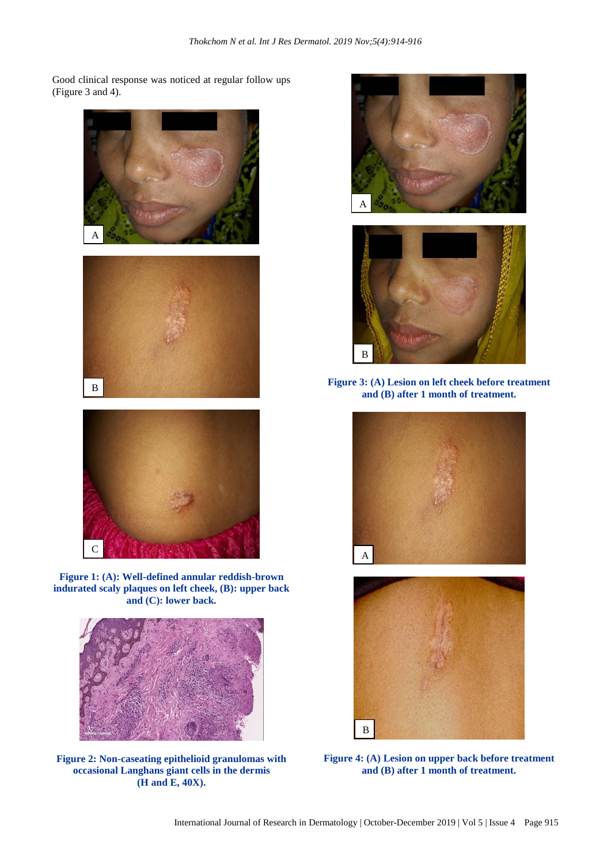Good clinical response was noticed at regular follow ups (Figure 3 and 4).



**Figure 1: (A): Well-defined annular reddish-brown indurated scaly plaques on left cheek, (B): upper back and (C): lower back.**



**Figure 2: Non-caseating epithelioid granulomas with occasional Langhans giant cells in the dermis (H and E, 40X).**



**Figure 3: (A) Lesion on left cheek before treatment and (B) after 1 month of treatment.**





**Figure 4: (A) Lesion on upper back before treatment and (B) after 1 month of treatment.**